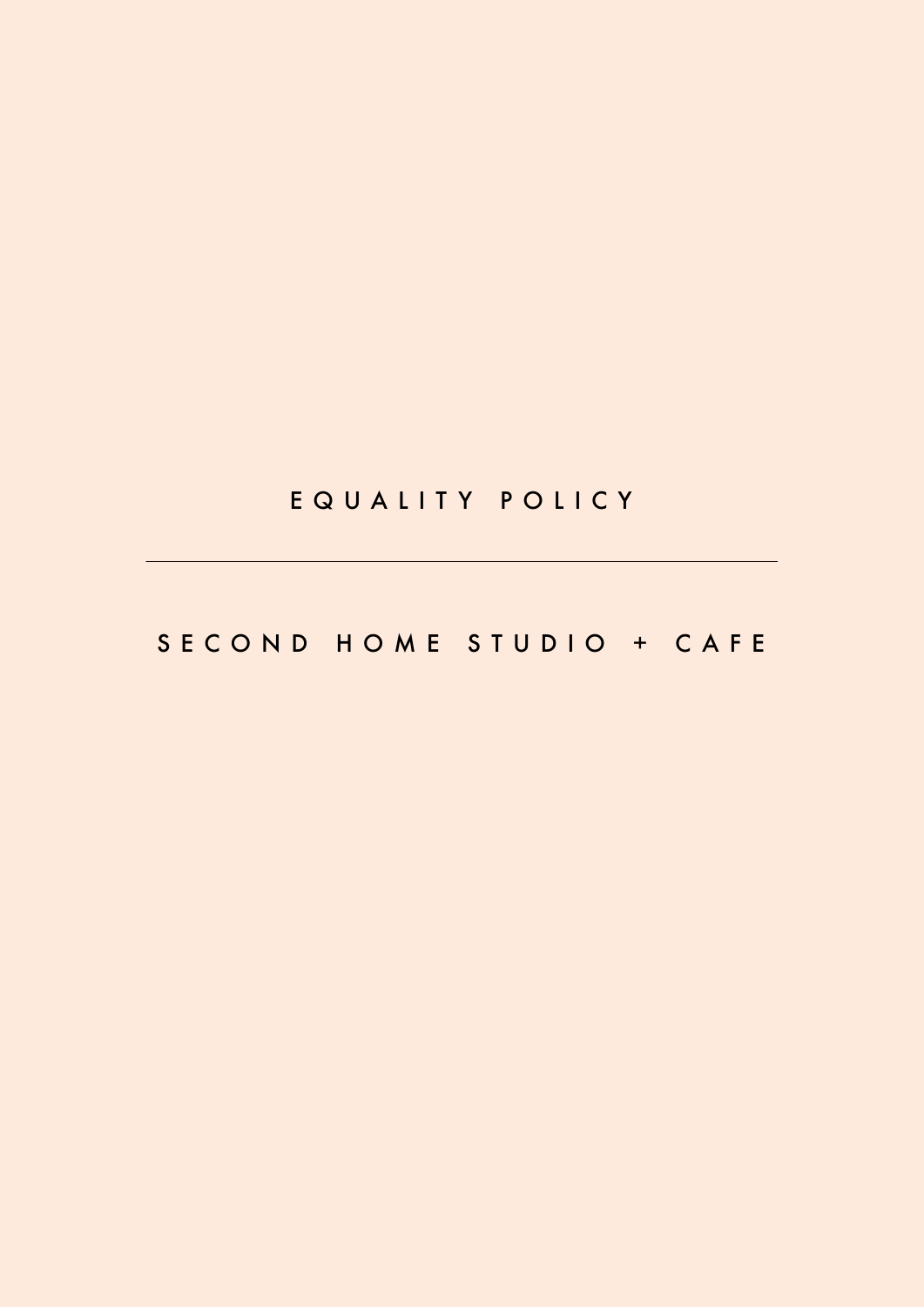# EQUALITY POLICY

# SECOND HOME STUDIO + CAFE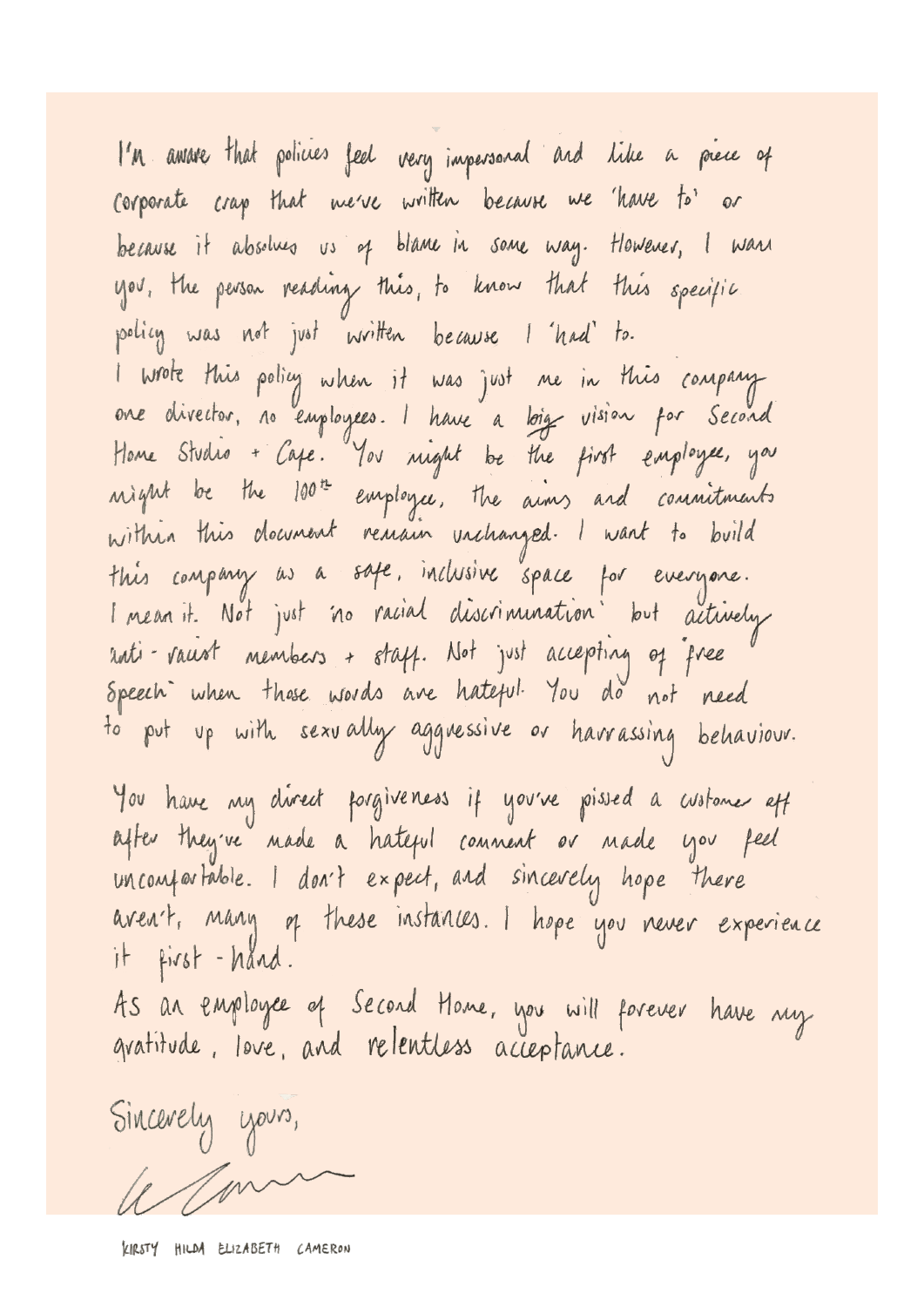I'M awave that policies feel very impersonal and like a prece of corporate crap that me've written because we 'have to' or because it absolves us of blame in some way. However, I want you, the person reading this, to know that this specific policy was not just written because I had to. I wrote this policy when it was just me in this company<br>one divector, no employees. I have a loig vision for Second Home Studio + Cape. You night be the first employee, you night be the 100th employee, the aims and commitments within this document remain unchanged. I want to build this company as a safe, inclusive space for everyone. I mean it. Not just no racial discrimination but actively anti-raust members + staff. Not just accepting of free Speech when those words are hateful. You do not need to put up with sexually aggressive or harrassing behaviour. You have my clivect pargiveness if you've pissed a customer eff after they've nade a hateful connent or nade you feel uncomportable. I don't expect, and sincevely hope there aven't, many of these instances. I hope you never experience it first-hånd. As an employee of Second Home, you will forever have my gratitude, love, and relentless acceptance.

Sincerely yours,  $\ell$  / mm

KIRSTY HILDA ELIZABETH CAMERON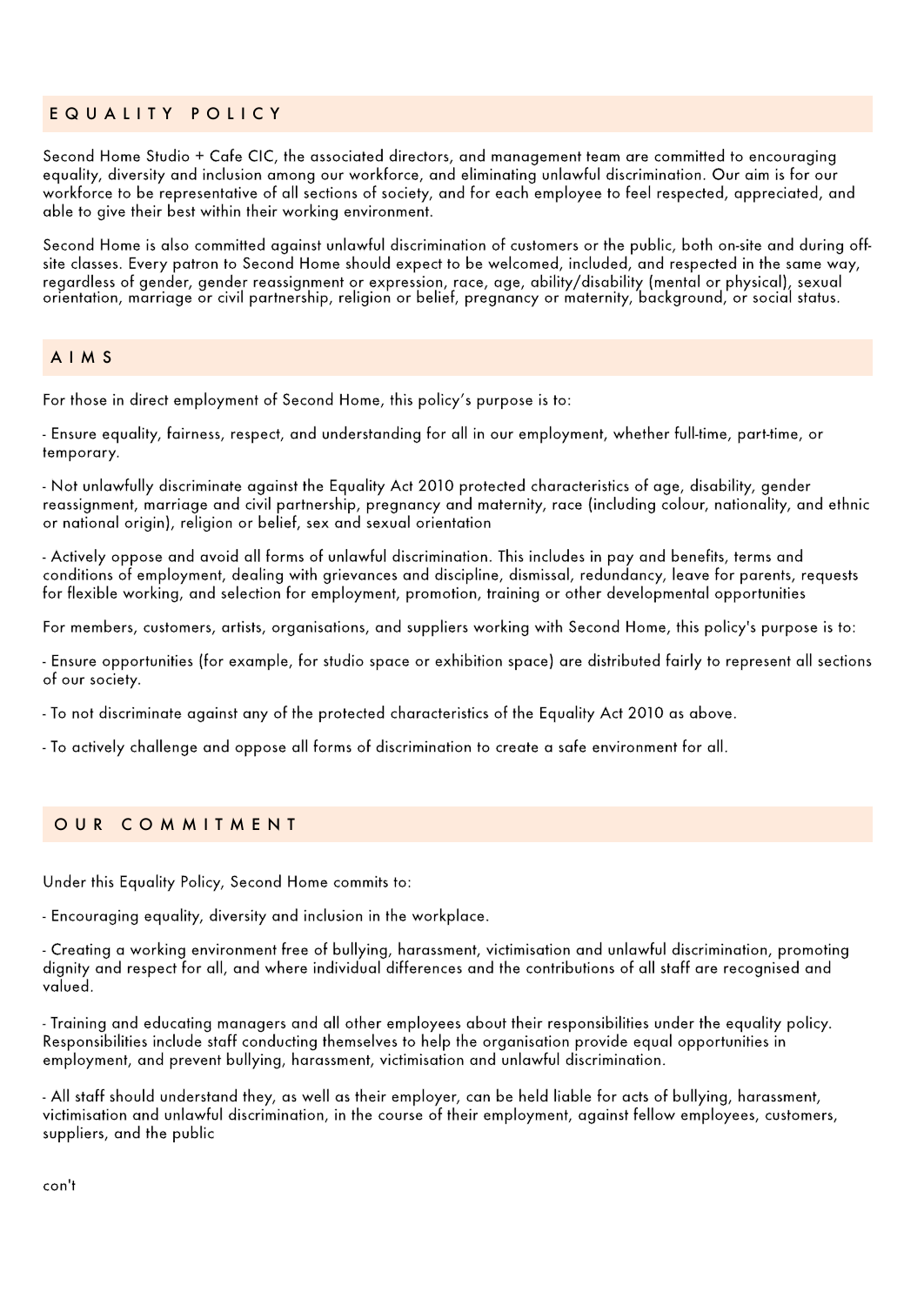## EQUALITY POLICY

Second Home Studio + Cafe CIC, the associated directors, and management team are committed to encouraging equality, diversity and inclusion among our workforce, and eliminating unlawful discrimination. Our aim is for our workforce to be representative of all sections of society, and for each employee to feel respected, appreciated, and able to give their best within their working environment.

Second Home is also committed against unlawful discrimination of customers or the public, both on-site and during offsite classes. Every patron to Second Home should expect to be welcomed, included, and respected in the same way, regardless of gender, gender reassignment or expression, race, age, ability/disability (mental or physical), sexual orientation, marriage or civil partnership, religion or belief, pregnancy or maternity, background, or social status.

### AIMS

For those in direct employment of Second Home, this policy's purpose is to:

- Ensure equality, fairness, respect, and understanding for all in our employment, whether full-time, part-time, or temporary.

- Not unlawfully discriminate against the Equality Act 2010 protected characteristics of age, disability, gender reassignment, marriage and civil partnership, pregnancy and maternity, race (including colour, nationality, and ethnic or national origin), religion or belief, sex and sexual orientation

- Actively oppose and avoid all forms of unlawful discrimination. This includes in pay and benefits, terms and conditions of employment, dealing with grievances and discipline, dismissal, redundancy, leave for parents, requests for flexible working, and selection for employment, promotion, training or other developmental opportunities

For members, customers, artists, organisations, and suppliers working with Second Home, this policy's purpose is to:

- Ensure opportunities (for example, for studio space or exhibition space) are distributed fairly to represent all sections of our society.

- To not discriminate against any of the protected characteristics of the Equality Act 2010 as above.

- To actively challenge and oppose all forms of discrimination to create a safe environment for all.

### OUR COMMITMENT

Under this Equality Policy, Second Home commits to:

- Encouraging equality, diversity and inclusion in the workplace.

- Creating a working environment free of bullying, harassment, victimisation and unlawful discrimination, promoting dignity and respect for all, and where individual differences and the contributions of all staff are recognised and valued.

- Training and educating managers and all other employees about their responsibilities under the equality policy. Responsibilities include staff conducting themselves to help the organisation provide equal opportunities in employment, and prevent bullying, harassment, victimisation and unlawful discrimination.

- All staff should understand they, as well as their employer, can be held liable for acts of bullying, harassment, victimisation and unlawful discrimination, in the course of their employment, against fellow employees, customers, suppliers, and the public